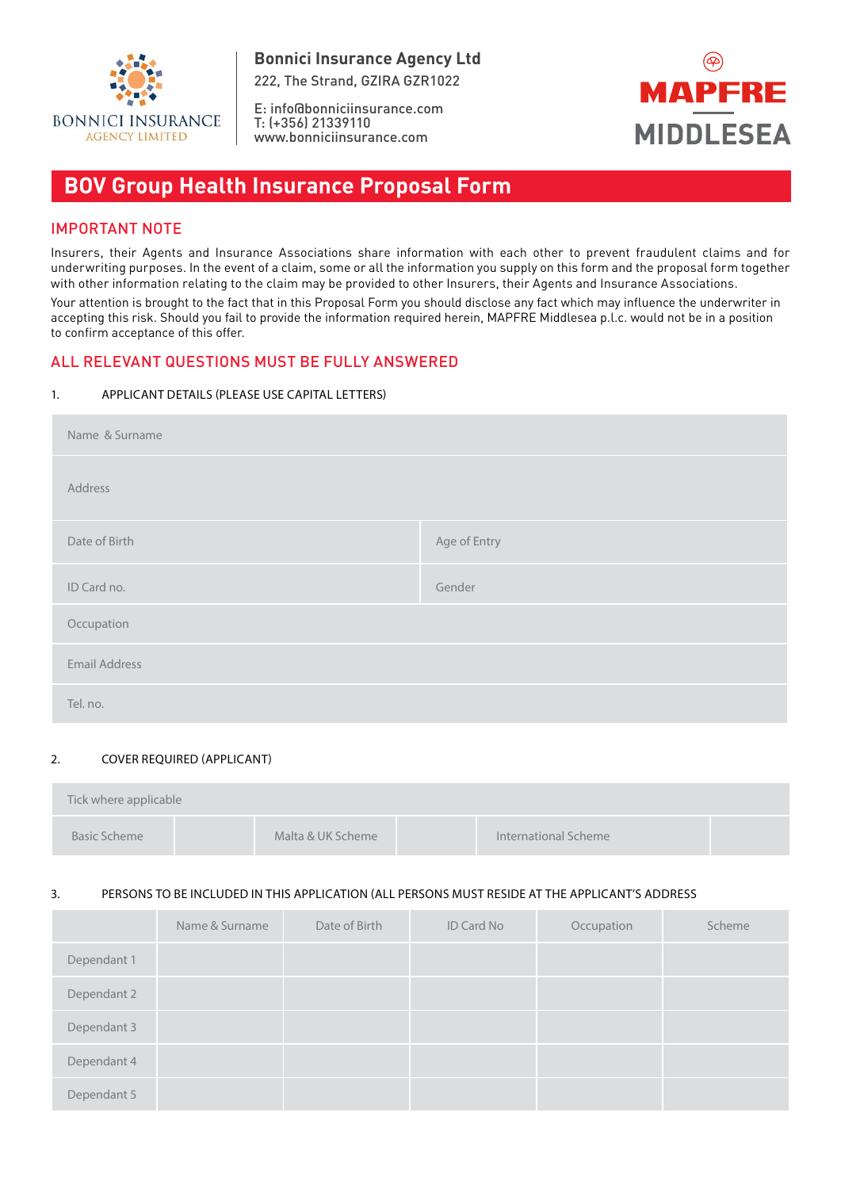

E: info@bonniciinsurance.com T: (+356) 21339110 www.bonniciinsurance.com



# **BOV Group Health Insurance Proposal Form**

# IMPORTANT NOTE

Insurers, their Agents and Insurance Associations share information with each other to prevent fraudulent claims and for underwriting purposes. In the event of a claim, some or all the information you supply on this form and the proposal form together with other information relating to the claim may be provided to other Insurers, their Agents and Insurance Associations.

Your attention is brought to the fact that in this Proposal Form you should disclose any fact which may influence the underwriter in accepting this risk. Should you fail to provide the information required herein, MAPFRE Middlesea p.l.c. would not be in a position to confirm acceptance of this offer.

# ALL RELEVANT QUESTIONS MUST BE FULLY ANSWERED

## 1. APPLICANT DETAILS (PLEASE USE CAPITAL LETTERS)

| Name & Surname       |              |
|----------------------|--------------|
| Address              |              |
| Date of Birth        | Age of Entry |
| ID Card no.          | Gender       |
| Occupation           |              |
| <b>Email Address</b> |              |
| Tel. no.             |              |

## 2. COVER REQUIRED (APPLICANT)

| Tick where applicable |                   |                      |  |
|-----------------------|-------------------|----------------------|--|
| Basic Scheme          | Malta & UK Scheme | International Scheme |  |

## 3. PERSONS TO BE INCLUDED IN THIS APPLICATION (ALL PERSONS MUST RESIDE AT THE APPLICANT'S ADDRESS

|             | Name & Surname | Date of Birth | ID Card No | Occupation | Scheme |
|-------------|----------------|---------------|------------|------------|--------|
| Dependant 1 |                |               |            |            |        |
| Dependant 2 |                |               |            |            |        |
| Dependant 3 |                |               |            |            |        |
| Dependant 4 |                |               |            |            |        |
| Dependant 5 |                |               |            |            |        |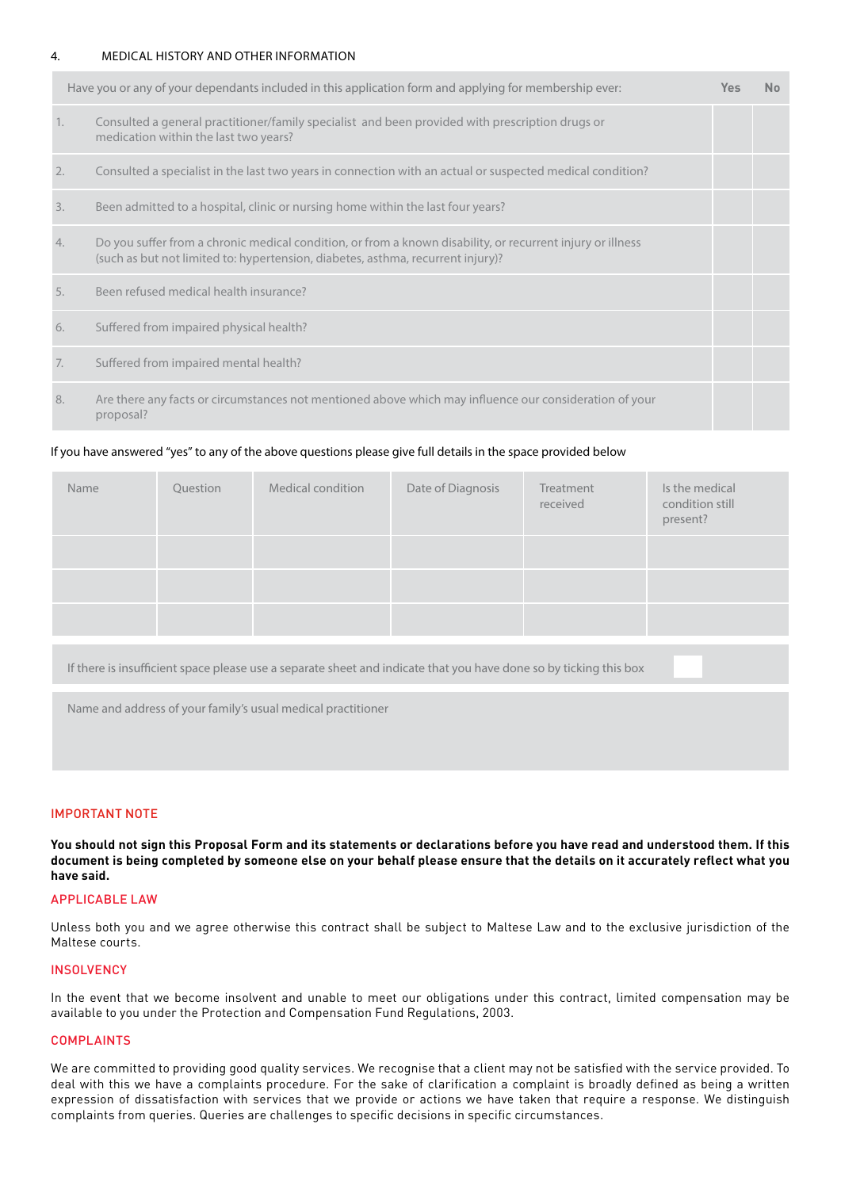#### 4. MEDICAL HISTORY AND OTHER INFORMATION

|    | Have you or any of your dependants included in this application form and applying for membership ever:                                                                                        | Yes | N <sub>o</sub> |
|----|-----------------------------------------------------------------------------------------------------------------------------------------------------------------------------------------------|-----|----------------|
| 1. | Consulted a general practitioner/family specialist and been provided with prescription drugs or<br>medication within the last two years?                                                      |     |                |
| 2. | Consulted a specialist in the last two years in connection with an actual or suspected medical condition?                                                                                     |     |                |
| 3. | Been admitted to a hospital, clinic or nursing home within the last four years?                                                                                                               |     |                |
| 4. | Do you suffer from a chronic medical condition, or from a known disability, or recurrent injury or illness<br>(such as but not limited to: hypertension, diabetes, asthma, recurrent injury)? |     |                |
| 5. | Been refused medical health insurance?                                                                                                                                                        |     |                |
| 6. | Suffered from impaired physical health?                                                                                                                                                       |     |                |
| 7. | Suffered from impaired mental health?                                                                                                                                                         |     |                |
| 8. | Are there any facts or circumstances not mentioned above which may influence our consideration of your<br>proposal?                                                                           |     |                |

#### If you have answered "yes" to any of the above questions please give full details in the space provided below

| Name | Question | Medical condition | Date of Diagnosis | Treatment<br>received | Is the medical<br>condition still<br>present? |
|------|----------|-------------------|-------------------|-----------------------|-----------------------------------------------|
|      |          |                   |                   |                       |                                               |
|      |          |                   |                   |                       |                                               |
|      |          |                   |                   |                       |                                               |

If there is insufficient space please use a separate sheet and indicate that you have done so by ticking this box

Name and address of your family's usual medical practitioner

#### IMPORTANT NOTE

**You should not sign this Proposal Form and its statements or declarations before you have read and understood them. If this document is being completed by someone else on your behalf please ensure that the details on it accurately reflect what you have said.**

#### APPLICABLE LAW

Unless both you and we agree otherwise this contract shall be subject to Maltese Law and to the exclusive jurisdiction of the Maltese courts.

#### **INSOLVENCY**

In the event that we become insolvent and unable to meet our obligations under this contract, limited compensation may be available to you under the Protection and Compensation Fund Regulations, 2003.

#### COMPLAINTS

We are committed to providing good quality services. We recognise that a client may not be satisfied with the service provided. To deal with this we have a complaints procedure. For the sake of clarification a complaint is broadly defined as being a written expression of dissatisfaction with services that we provide or actions we have taken that require a response. We distinguish complaints from queries. Queries are challenges to specific decisions in specific circumstances.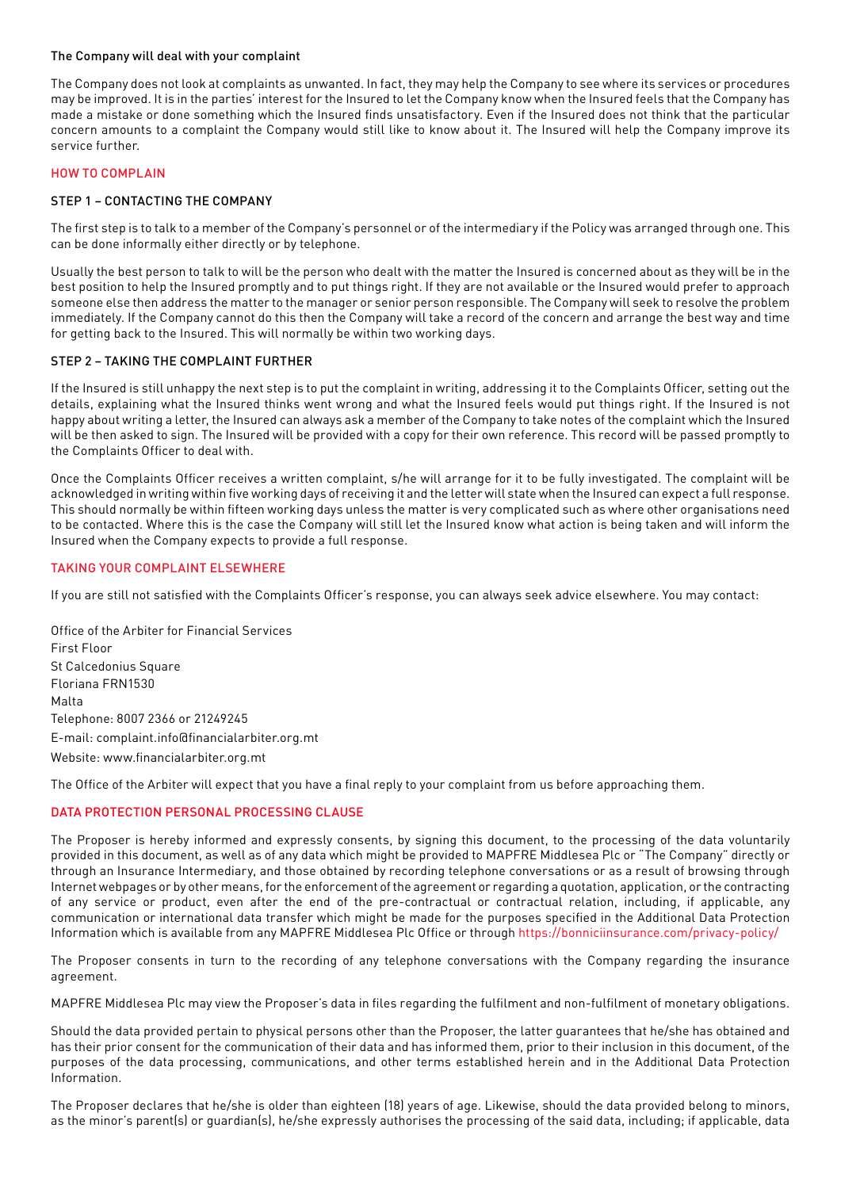#### The Company will deal with your complaint

The Company does not look at complaints as unwanted. In fact, they may help the Company to see where its services or procedures may be improved. It is in the parties' interest for the Insured to let the Company know when the Insured feels that the Company has made a mistake or done something which the Insured finds unsatisfactory. Even if the Insured does not think that the particular concern amounts to a complaint the Company would still like to know about it. The Insured will help the Company improve its service further.

#### HOW TO COMPLAIN

#### STEP 1 – CONTACTING THE COMPANY

The first step is to talk to a member of the Company's personnel or of the intermediary if the Policy was arranged through one. This can be done informally either directly or by telephone.

Usually the best person to talk to will be the person who dealt with the matter the Insured is concerned about as they will be in the best position to help the Insured promptly and to put things right. If they are not available or the Insured would prefer to approach someone else then address the matter to the manager or senior person responsible. The Company will seek to resolve the problem immediately. If the Company cannot do this then the Company will take a record of the concern and arrange the best way and time for getting back to the Insured. This will normally be within two working days.

#### STEP 2 – TAKING THE COMPLAINT FURTHER

If the Insured is still unhappy the next step is to put the complaint in writing, addressing it to the Complaints Officer, setting out the details, explaining what the Insured thinks went wrong and what the Insured feels would put things right. If the Insured is not happy about writing a letter, the Insured can always ask a member of the Company to take notes of the complaint which the Insured will be then asked to sign. The Insured will be provided with a copy for their own reference. This record will be passed promptly to the Complaints Officer to deal with.

Once the Complaints Officer receives a written complaint, s/he will arrange for it to be fully investigated. The complaint will be acknowledged in writing within five working days of receiving it and the letter will state when the Insured can expect a full response. This should normally be within fifteen working days unless the matter is very complicated such as where other organisations need to be contacted. Where this is the case the Company will still let the Insured know what action is being taken and will inform the Insured when the Company expects to provide a full response.

#### TAKING YOUR COMPLAINT ELSEWHERE

If you are still not satisfied with the Complaints Officer's response, you can always seek advice elsewhere. You may contact:

Office of the Arbiter for Financial Services First Floor St Calcedonius Square Floriana FRN1530 Malta Telephone: 8007 2366 or 21249245 E-mail: complaint.info@financialarbiter.org.mt Website: www.financialarbiter.org.mt

The Office of the Arbiter will expect that you have a final reply to your complaint from us before approaching them.

## DATA PROTECTION PERSONAL PROCESSING CLAUSE

The Proposer is hereby informed and expressly consents, by signing this document, to the processing of the data voluntarily provided in this document, as well as of any data which might be provided to MAPFRE Middlesea Plc or "The Company" directly or through an Insurance Intermediary, and those obtained by recording telephone conversations or as a result of browsing through Internet webpages or by other means, for the enforcement of the agreement or regarding a quotation, application, or the contracting of any service or product, even after the end of the pre-contractual or contractual relation, including, if applicable, any communication or international data transfer which might be made for the purposes specified in the Additional Data Protection Information which is available from any MAPFRE Middlesea Plc Office or through https://bonniciinsurance.com/privacy-policy/

The Proposer consents in turn to the recording of any telephone conversations with the Company regarding the insurance agreement.

MAPFRE Middlesea Plc may view the Proposer's data in files regarding the fulfilment and non-fulfilment of monetary obligations.

Should the data provided pertain to physical persons other than the Proposer, the latter guarantees that he/she has obtained and has their prior consent for the communication of their data and has informed them, prior to their inclusion in this document, of the purposes of the data processing, communications, and other terms established herein and in the Additional Data Protection Information.

The Proposer declares that he/she is older than eighteen (18) years of age. Likewise, should the data provided belong to minors, as the minor's parent(s) or quardian(s), he/she expressly authorises the processing of the said data, including; if applicable, data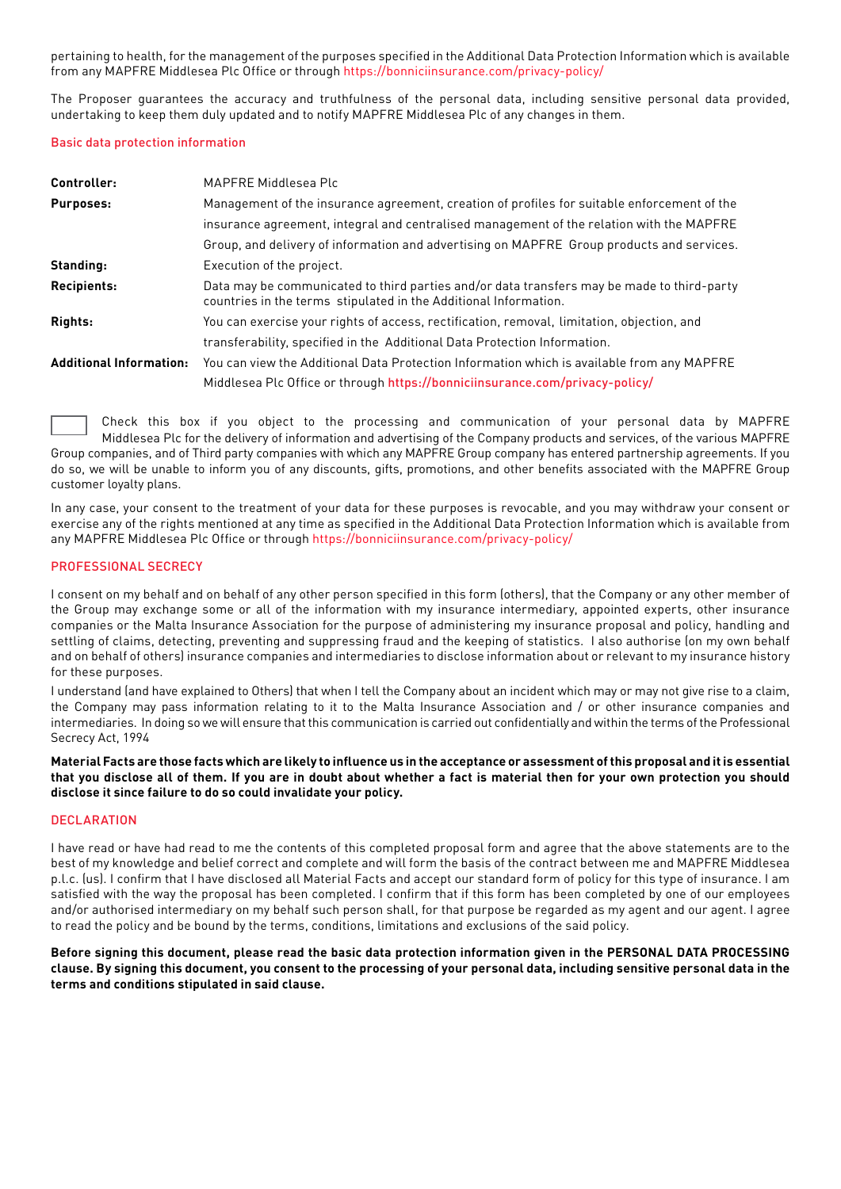pertaining to health, for the management of the purposes specified in the Additional Data Protection Information which is available from any MAPFRE Middlesea Plc Office or through https://bonniciinsurance.com/privacy-policy/

The Proposer guarantees the accuracy and truthfulness of the personal data, including sensitive personal data provided, undertaking to keep them duly updated and to notify MAPFRE Middlesea Plc of any changes in them.

#### Basic data protection information

| Controller:                    | MAPFRE Middlesea Plc                                                                                                                                           |
|--------------------------------|----------------------------------------------------------------------------------------------------------------------------------------------------------------|
| Purposes:                      | Management of the insurance agreement, creation of profiles for suitable enforcement of the                                                                    |
|                                | insurance agreement, integral and centralised management of the relation with the MAPFRE                                                                       |
|                                | Group, and delivery of information and advertising on MAPFRE Group products and services.                                                                      |
| Standing:                      | Execution of the project.                                                                                                                                      |
| Recipients:                    | Data may be communicated to third parties and/or data transfers may be made to third-party<br>countries in the terms stipulated in the Additional Information. |
| Rights:                        | You can exercise your rights of access, rectification, removal, limitation, objection, and                                                                     |
|                                | transferability, specified in the Additional Data Protection Information.                                                                                      |
| <b>Additional Information:</b> | You can view the Additional Data Protection Information which is available from any MAPFRE                                                                     |
|                                | Middlesea Plc Office or through https://bonniciinsurance.com/privacy-policy/                                                                                   |

 Check this box if you object to the processing and communication of your personal data by MAPFRE Middlesea Plc for the delivery of information and advertising of the Company products and services, of the various MAPFRE Group companies, and of Third party companies with which any MAPFRE Group company has entered partnership agreements. If you do so, we will be unable to inform you of any discounts, gifts, promotions, and other benefits associated with the MAPFRE Group customer loyalty plans.

In any case, your consent to the treatment of your data for these purposes is revocable, and you may withdraw your consent or exercise any of the rights mentioned at any time as specified in the Additional Data Protection Information which is available from any MAPFRE Middlesea Plc Office or through https://bonniciinsurance.com/privacy-policy/

## PROFESSIONAL SECRECY

I consent on my behalf and on behalf of any other person specified in this form (others), that the Company or any other member of the Group may exchange some or all of the information with my insurance intermediary, appointed experts, other insurance companies or the Malta Insurance Association for the purpose of administering my insurance proposal and policy, handling and settling of claims, detecting, preventing and suppressing fraud and the keeping of statistics. I also authorise (on my own behalf and on behalf of others) insurance companies and intermediaries to disclose information about or relevant to my insurance history for these purposes.

I understand (and have explained to Others) that when I tell the Company about an incident which may or may not give rise to a claim, the Company may pass information relating to it to the Malta Insurance Association and / or other insurance companies and intermediaries. In doing so we will ensure that this communication is carried out confidentially and within the terms of the Professional Secrecy Act, 1994

**Material Facts are those facts which are likely to influence us in the acceptance or assessment of this proposal and it is essential that you disclose all of them. If you are in doubt about whether a fact is material then for your own protection you should disclose it since failure to do so could invalidate your policy.**

## **DECLARATION**

I have read or have had read to me the contents of this completed proposal form and agree that the above statements are to the best of my knowledge and belief correct and complete and will form the basis of the contract between me and MAPFRE Middlesea p.l.c. (us). I confirm that I have disclosed all Material Facts and accept our standard form of policy for this type of insurance. I am satisfied with the way the proposal has been completed. I confirm that if this form has been completed by one of our employees and/or authorised intermediary on my behalf such person shall, for that purpose be regarded as my agent and our agent. I agree to read the policy and be bound by the terms, conditions, limitations and exclusions of the said policy.

## **Before signing this document, please read the basic data protection information given in the PERSONAL DATA PROCESSING clause. By signing this document, you consent to the processing of your personal data, including sensitive personal data in the terms and conditions stipulated in said clause.**